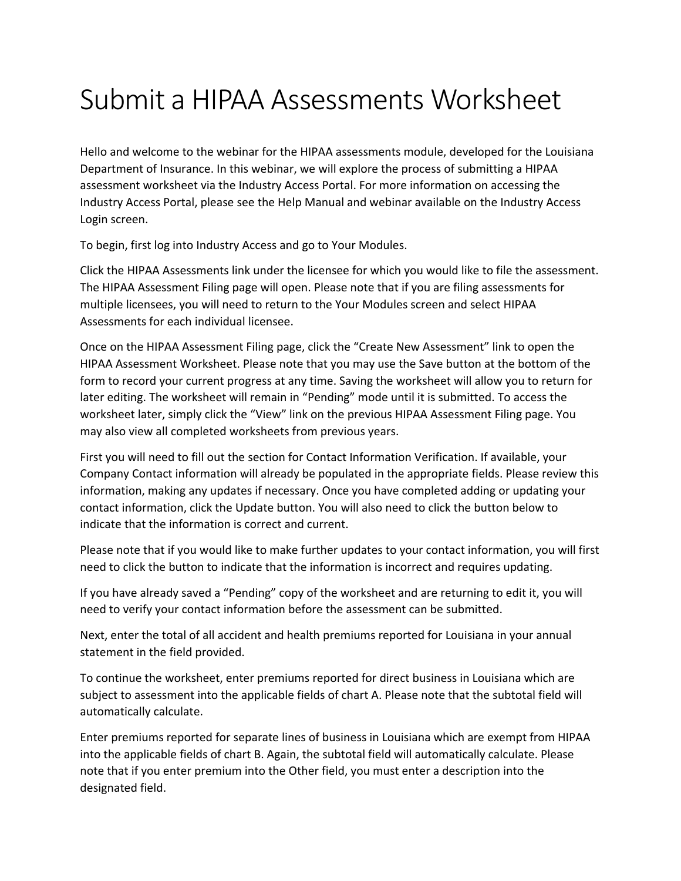## Submit a HIPAA Assessments Worksheet

Hello and welcome to the webinar for the HIPAA assessments module, developed for the Louisiana Department of Insurance. In this webinar, we will explore the process of submitting a HIPAA assessment worksheet via the Industry Access Portal. For more information on accessing the Industry Access Portal, please see the Help Manual and webinar available on the Industry Access Login screen.

To begin, first log into Industry Access and go to Your Modules.

Click the HIPAA Assessments link under the licensee for which you would like to file the assessment. The HIPAA Assessment Filing page will open. Please note that if you are filing assessments for multiple licensees, you will need to return to the Your Modules screen and select HIPAA Assessments for each individual licensee.

Once on the HIPAA Assessment Filing page, click the "Create New Assessment" link to open the HIPAA Assessment Worksheet. Please note that you may use the Save button at the bottom of the form to record your current progress at any time. Saving the worksheet will allow you to return for later editing. The worksheet will remain in "Pending" mode until it is submitted. To access the worksheet later, simply click the "View" link on the previous HIPAA Assessment Filing page. You may also view all completed worksheets from previous years.

First you will need to fill out the section for Contact Information Verification. If available, your Company Contact information will already be populated in the appropriate fields. Please review this information, making any updates if necessary. Once you have completed adding or updating your contact information, click the Update button. You will also need to click the button below to indicate that the information is correct and current.

Please note that if you would like to make further updates to your contact information, you will first need to click the button to indicate that the information is incorrect and requires updating.

If you have already saved a "Pending" copy of the worksheet and are returning to edit it, you will need to verify your contact information before the assessment can be submitted.

Next, enter the total of all accident and health premiums reported for Louisiana in your annual statement in the field provided.

To continue the worksheet, enter premiums reported for direct business in Louisiana which are subject to assessment into the applicable fields of chart A. Please note that the subtotal field will automatically calculate.

Enter premiums reported for separate lines of business in Louisiana which are exempt from HIPAA into the applicable fields of chart B. Again, the subtotal field will automatically calculate. Please note that if you enter premium into the Other field, you must enter a description into the designated field.